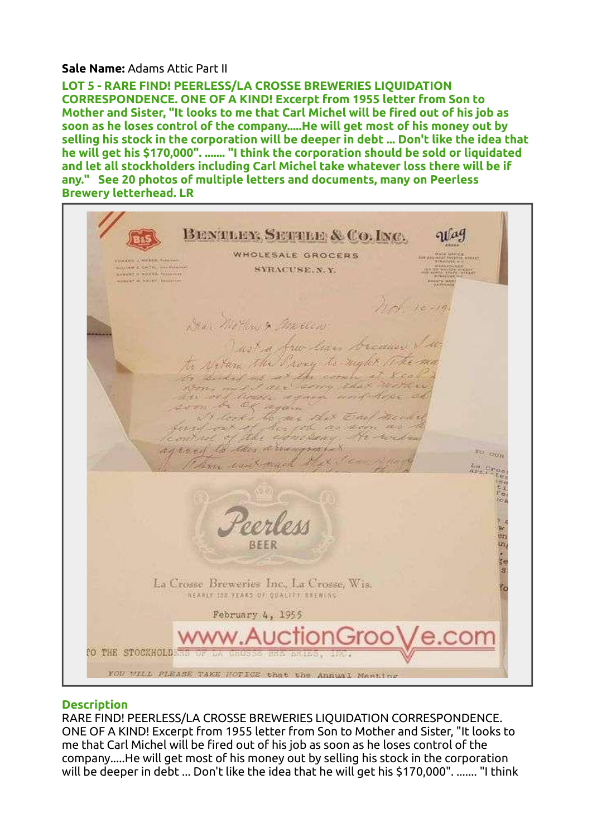## Sale Name: Adams Attic Part II

LOT 5 - RARE FIND! PEERLESS/LA CROSSE BREWERIES LIQUIDATION CORRESPONDENCE. ONE OF A KIND! Excerpt from 1955 letter from Son to Mother and Sister, "It looks to me that Carl Michel will be fired out of his job as soon as he loses control of the company.....He will get most of his money out by selling his stock in the corporation will be deeper in debt ... Don't like the idea that he will get his \$170,000". ....... "I think the corporation should be sold or liquidated and let all stockholders including Carl Michel take whatever loss there will be if any." See 20 photos of multiple letters and documents, many on Peerless Brewery letterhead. LR



## **Description**

RARE FIND! PEERLESS/LA CROSSE BREWERIES LIQUIDATION CORRESPONDENCE. ONE OF A KIND! Excerpt from 1955 letter from Son to Mother and Sister, "It looks to me that Carl Michel will be fired out of his job as soon as he loses control of the company.....He will get most of his money out by selling his stock in the corporation will be deeper in debt ... Don't like the idea that he will get his \$170,000". ....... "I think